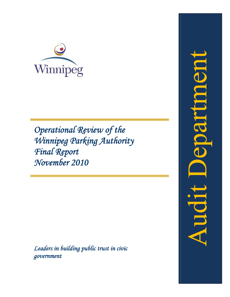

*Operational Review of the Winnipeg Parking Authority Final Report November 2010*

*Leaders in building public trust in civic government*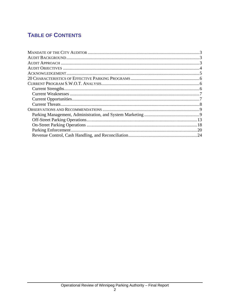# **TABLE OF CONTENTS**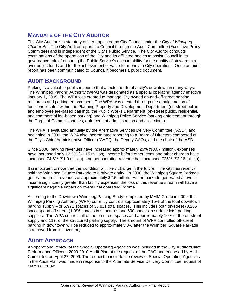# **MANDATE OF THE CITY AUDITOR**

The City Auditor is a statutory officer appointed by City Council under the *City of Winnipeg Charter Act*. The City Auditor reports to Council through the Audit Committee (Executive Policy Committee) and is independent of the City's Public Service. The City Auditor conducts examinations of the operations of the City and its affiliated bodies to assist Council in its governance role of ensuring the Public Service's accountability for the quality of stewardship over public funds and for the achievement of value for money in City operations. Once an audit report has been communicated to Council, it becomes a public document.

## **AUDIT BACKGROUND**

Parking is a valuable public resource that affects the life of a city's downtown in many ways. The Winnipeg Parking Authority (WPA) was designated as a special operating agency effective January 1, 2005. The WPA was created to manage City owned on-and-off-street parking resources and parking enforcement. The WPA was created through the amalgamation of functions located within the Planning Property and Development Department (off-street public and employee fee-based parking), the Public Works Department (on-street public, residential, and commercial fee-based parking) and Winnipeg Police Service (parking enforcement through the Corps of Commissionaires, enforcement administration and collections).

The WPA is evaluated annually by the Alternative Services Delivery Committee ("ASD") and beginning in 2009, the WPA also incorporated reporting to a Board of Directors composed of the City's Chief Administrative Officer ("CAO"), the Deputy CAOs, and the chair of the ASD.

Since 2006, parking revenues have increased approximately 26% (\$3.07 million), expenses have increased only 12.5% (\$1.15 million), income before other items and other charges have increased 74.6% (\$1.9 million), and net operating revenue has increased 725% (\$2.16 million).

It is important to note that this condition will likely change in the future. The city has recently sold the Winnipeg Square Parkade to a private entity. In 2008, the Winnipeg Square Parkade generated gross revenues of approximately \$2.6 million. As the parkade generated a level of income significantly greater than facility expenses, the loss of this revenue stream will have a significant negative impact on overall net operating income.

According to the Downtown Winnipeg Parking Study completed by MMM Group in 2009, the Winnipeg Parking Authority (WPA) currently controls approximately 15% of the total downtown parking supply – or 5,971 spaces of 38,811 total spaces. This includes both on-street (3,285 spaces) and off-street (1,996 spaces in structures and 690 spaces in surface lots) parking supplies. The WPA controls all of the on-street spaces and approximately 10% of the off-street supply and 11% of the structured parking supply. The amount of WPA controlled off-street parking in downtown will be reduced to approximately 8% after the Winnipeg Square Parkade is removed from its inventory.

## **AUDIT APPROACH**

An operational review of the Special Operating Agencies was included in the City Auditor/Chief Performance Officer's 2009-2010 Audit Plan at the request of the CAO and endorsed by Audit Committee on April 27, 2009. The request to include the review of Special Operating Agencies in the Audit Plan was made in response to the Alternate Service Delivery Committee request of March 6, 2009: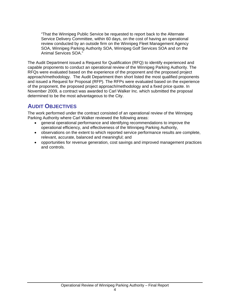"That the Winnipeg Public Service be requested to report back to the Alternate Service Delivery Committee, within 60 days, on the cost of having an operational review conducted by an outside firm on the Winnipeg Fleet Management Agency SOA, Winnipeg Parking Authority SOA, Winnipeg Golf Services SOA and on the Animal Services SOA."

The Audit Department issued a Request for Qualification (RFQ) to identify experienced and capable proponents to conduct an operational review of the Winnipeg Parking Authority. The RFQs were evaluated based on the experience of the proponent and the proposed project approach/methodology. The Audit Department then short listed the most qualified proponents and issued a Request for Proposal (RFP). The RFPs were evaluated based on the experience of the proponent, the proposed project approach/methodology and a fixed price quote. In November 2009, a contract was awarded to Carl Walker Inc. which submitted the proposal determined to be the most advantageous to the City.

## **AUDIT OBJECTIVES**

The work performed under the contract consisted of an operational review of the Winnipeg Parking Authority where Carl Walker reviewed the following areas:

- general operational performance and identifying recommendations to improve the operational efficiency, and effectiveness of the Winnipeg Parking Authority,
- observations on the extent to which reported service performance results are complete, relevant, accurate, balanced and meaningful; and
- opportunities for revenue generation, cost savings and improved management practices and controls.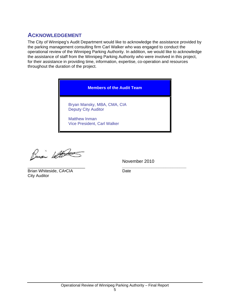## **ACKNOWLEDGEMENT**

The City of Winnipeg's Audit Department would like to acknowledge the assistance provided by the parking management consulting firm Carl Walker who was engaged to conduct the operational review of the Winnipeg Parking Authority. In addition, we would like to acknowledge the assistance of staff from the Winnipeg Parking Authority who were involved in this project, for their assistance in providing time, information, expertise, co-operation and resources throughout the duration of the project.

**Members of the Audit Team** 

Bryan Mansky, MBA, CMA, CIA Deputy City Auditor

Matthew Inman Vice President, Carl Walker

Busi With

November 2010

\_\_\_\_\_\_\_\_\_\_\_\_\_\_\_\_\_\_\_\_\_\_\_\_\_ *\_\_\_\_\_\_\_\_\_\_\_\_\_\_\_\_\_\_\_\_\_\_\_\_\_\_\_\_*

Brian Whiteside, CA•CIA Date City Auditor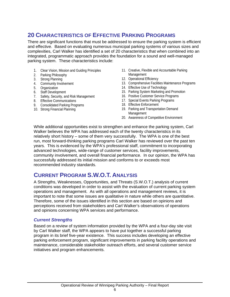# **20 CHARACTERISTICS OF EFFECTIVE PARKING PROGRAMS**

There are significant functions that must be addressed to ensure the parking system is efficient and effective. Based on evaluating numerous municipal parking systems of various sizes and complexities, Carl Walker has identified a set of 20 characteristics that when combined into an integrated, programmatic approach provides the foundation for a sound and well-managed parking system. These characteristics include:

- 1. Clear Vision, Mission and Guiding Principles
- 2. Parking Philosophy
- 3. Strong Planning
- 4. Community Involvement
- 5. Organization
- 6. Staff Development
- 7. Safety, Security, and Risk Management
- 8. Effective Communications
- 9. Consolidated Parking Programs
- 10. Strong Financial Planning
- 11. Creative, Flexible and Accountable Parking Management
- 12. Operational Efficiency
- 13. Comprehensive Facilities Maintenance Programs
- 14. Effective Use of Technology
- 15. Parking System Marketing and Promotion
- 16. Positive Customer Service Programs
- 17. Special Events Parking Programs
- 18. Effective Enforcement
- 19. Parking and Transportation Demand Management
- 20. Awareness of Competitive Environment

While additional opportunities exist to strengthen and enhance the parking system, Carl Walker believes the WPA has addressed each of the twenty characteristics in its relatively short history – some of them very successfully. The WPA is one of the best run, most forward-thinking parking programs Carl Walker has reviewed over the past ten years. This is evidenced by the WPA's professional staff, commitment to incorporating advanced technologies, wide-range of customer services, facility improvements, community involvement, and overall financial performance. In our opinion, the WPA has successfully addressed its initial mission and conforms to or exceeds most recommended industry standards.

## **CURRENT PROGRAM S.W.O.T. ANALYSIS**

A Strengths, Weaknesses, Opportunities, and Threats (S.W.O.T.) analysis of current conditions was developed in order to assist with the evaluation of current parking system operations and management. As with all operations and management reviews, it is important to note that some issues are qualitative in nature while others are quantitative. Therefore, some of the issues identified in this section are based on opinions and perceptions received from stakeholders and Carl Walker's observations of operations and opinions concerning WPA services and performance.

## *Current Strengths*

Based on a review of system information provided by the WPA and a four-day site visit by Carl Walker staff, the WPA appears to have put together a successful parking program in its brief five-year existence. This success includes developing an effective parking enforcement program, significant improvements in parking facility operations and maintenance, considerable stakeholder outreach efforts, and several customer service initiatives and program enhancements.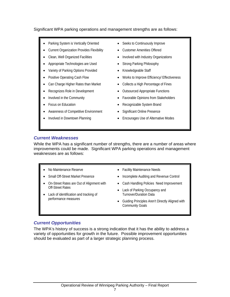## Significant WPA parking operations and management strengths are as follows:

- Parking System is Vertically Oriented
- Current Organization Provides Flexibility
- Clean, Well Organized Facilities
- Appropriate Technologies are Used
- Variety of Parking Options Provided
- Positive Operating Cash Flow
- Can Charge Higher Rates than Market
- Recognizes Role in Development
- Involved in the Community
- Focus on Education
- Awareness of Competitive Environment
- Involved in Downtown Planning
- Seeks to Continuously Improve
- Customer Amenities Offered
- Involved with Industry Organizations
- Strong Parking Philosophy
- Knowledgeable Staff
- Works to Improve Efficiency/ Effectiveness
- Collects a High Percentage of Fines
- Outsourced Appropriate Functions
- Favorable Opinions from Stakeholders
- Recognizable System Brand
- Significant Online Presence
- Encourages Use of Alternative Modes

## *Current Weaknesses*

While the WPA has a significant number of strengths, there are a number of areas where improvements could be made. Significant WPA parking operations and management weaknesses are as follows:

- No Maintenance Reserve
- Small Off-Street Market Presence
- On-Street Rates are Out of Alignment with Off-Street Rates
- Lack of identification and tracking of performance measures
- Facility Maintenance Needs
- Incomplete Auditing and Revenue Control
- Cash Handling Policies Need Improvement
- Lack of Parking Occupancy and Turnover/Duration Data
- Guiding Principles Aren't Directly Aligned with Community Goals

## *Current Opportunities*

The WPA's history of success is a strong indication that it has the ability to address a variety of opportunities for growth in the future. Possible improvement opportunities should be evaluated as part of a larger strategic planning process.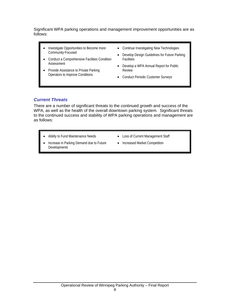Significant WPA parking operations and management improvement opportunities are as follows:

- Investigate Opportunities to Become more Community-Focused
- Conduct a Comprehensive Facilities Condition **Assessment**
- Provide Assistance to Private Parking Operators to Improve Conditions
- Continue Investigating New Technologies
- Develop Design Guidelines for Future Parking **Facilities**
- Develop a WPA Annual Report for Public Review
- Conduct Periodic Customer Surveys

## *Current Threats*

There are a number of significant threats to the continued growth and success of the WPA, as well as the health of the overall downtown parking system. Significant threats to the continued success and stability of WPA parking operations and management are as follows:

- Ability to Fund Maintenance Needs
- Loss of Current Management Staff
- Increase in Parking Demand due to Future **Developments**
- Increased Market Competition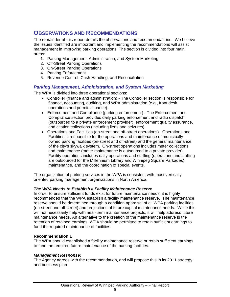## **OBSERVATIONS AND RECOMMENDATIONS**

The remainder of this report details the observations and recommendations. We believe the issues identified are important and implementing the recommendations will assist management in improving parking operations. The section is divided into four main areas:

- 1. Parking Management, Administration, and System Marketing
- 2. Off-Street Parking Operations
- 3. On-Street Parking Operations
- 4. Parking Enforcement
- 5. Revenue Control, Cash Handling, and Reconciliation

## *Parking Management, Administration, and System Marketing*

The WPA is divided into three operational sections:

- Controller (finance and administration) The Controller section is responsible for finance, accounting, auditing, and WPA administration (e.g., front desk operations and permit issuance).
- Enforcement and Compliance (parking enforcement) The Enforcement and Compliance section provides daily parking enforcement and radio dispatch (outsourced to a private enforcement provider), enforcement quality assurance, and citation collections (including liens and seizures).
- Operations and Facilities (on-street and off-street operations). Operations and Facilities is responsible for the operations and maintenance of municipally owned parking facilities (on-street and off-street) and the general maintenance of the city's skywalk system. On-street operations includes meter collections and maintenance (meter maintenance is outsourced to a private provider). Facility operations includes daily operations and staffing (operations and staffing are outsourced for the Millennium Library and Winnipeg Square Parkades), maintenance, and the coordination of special events.

The organization of parking services in the WPA is consistent with most vertically oriented parking management organizations in North America.

## *The WPA Needs to Establish a Facility Maintenance Reserve*

In order to ensure sufficient funds exist for future maintenance needs, it is highly recommended that the WPA establish a facility maintenance reserve. The maintenance reserve should be determined through a condition appraisal of all WPA parking facilities (on-street and off-street) and projections of future capital maintenance needs. While this will not necessarily help with near-term maintenance projects, it will help address future maintenance needs. An alternative to the creation of the maintenance reserve is the retention of retained earnings. WPA should be permitted to retain sufficient earnings to fund the required maintenance of facilities.

## **Recommendation 1**

The WPA should established a facility maintenance reserve or retain sufficient earnings to fund the required future maintenance of the parking facilities.

## *Management Response:*

The Agency agrees with the recommendation, and will propose this in its 2011 strategy and business plan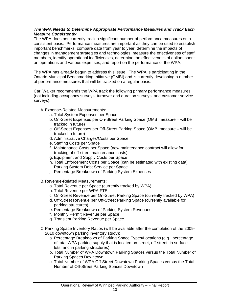## *The WPA Needs to Determine Appropriate Performance Measures and Track Each Measure Consistently*

The WPA does not currently track a significant number of performance measures on a consistent basis. Performance measures are important as they can be used to establish important benchmarks, compare data from year to year, determine the impacts of changes in management strategies and technologies, measure the effectiveness of staff members, identify operational inefficiencies, determine the effectiveness of dollars spent on operations and various expenses, and report on the performance of the WPA.

The WPA has already begun to address this issue. The WPA is participating in the Ontario Municipal Benchmarking Initiative (OMBI) and is currently developing a number of performance measures that will be tracked on a regular basis.

Carl Walker recommends the WPA track the following primary performance measures (not including occupancy surveys, turnover and duration surveys, and customer service surveys):

A. Expense-Related Measurements:

- a. Total System Expenses per Space
- b. On-Street Expenses per On-Street Parking Space (OMBI measure will be tracked in future)
- c. Off-Street Expenses per Off-Street Parking Space (OMBI measure will be tracked in future)
- d. Administrative Charges/Costs per Space
- e. Staffing Costs per Space
- f. Maintenance Costs per Space (new maintenance contract will allow for tracking of off-street maintenance costs)
- g. Equipment and Supply Costs per Space
- h. Total Enforcement Costs per Space (can be estimated with existing data)
- i. Parking System Debt Service per Space
- j. Percentage Breakdown of Parking System Expenses
- B. Revenue-Related Measurements:
	- a. Total Revenue per Space (currently tracked by WPA)
	- b. Total Revenue per WPA FTE
	- c. On-Street Revenue per On-Street Parking Space (currently tracked by WPA)
	- d. Off-Street Revenue per Off-Street Parking Space (currently available for parking structures)
	- e. Percentage Breakdown of Parking System Revenues
	- f. Monthly Permit Revenue per Space
	- g. Transient Parking Revenue per Space
- C. Parking Space Inventory Ratios (will be available after the completion of the 2009- 2010 downtown parking inventory study):
	- a. Percentage Breakdown of Parking Space Types/Locations (e.g., percentage of total WPA parking supply that is located on-street, off-street, in surface lots, and in parking structures)
	- b. Total Number of WPA Downtown Parking Spaces versus the Total Number of Parking Spaces Downtown
	- c. Total Number of WPA Off-Street Downtown Parking Spaces versus the Total Number of Off-Street Parking Spaces Downtown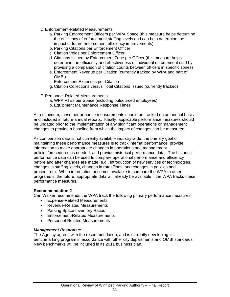- D. Enforcement-Related Measurements:
	- a. Parking Enforcement Officers per WPA Space (this measure helps determine the efficiency of enforcement staffing levels and can help determine the impact of future enforcement efficiency improvements)
	- b. Parking Citations per Enforcement Officer
	- c. Citation Voids per Enforcement Officer
	- d. Citations Issued by Enforcement Zone per Officer (this measure helps determine the efficiency and effectiveness of individual enforcement staff by providing a comparison of citation counts between officers in specific zones)
	- e. Enforcement Revenue per Citation (currently tracked by WPA and part of OMBI)
	- f. Enforcement Expenses per Citation
	- g. Citation Collections versus Total Citations Issued (currently tracked)
- E. Personnel-Related Measurements:
	- a. WPA FTEs per Space (including outsourced employees)
	- b. Equipment Maintenance Response Times

At a minimum, these performance measurements should be tracked on an annual basis and included in future annual reports. Ideally, applicable performance measures should be updated prior to the implementation of any significant operations or management changes to provide a baseline from which the impact of changes can be measured.

As comparison data is not currently available industry-wide, the primary goal of maintaining these performance measures is to track internal performance, provide information to make appropriate changes in operations and management policies/procedures as needed, and provide historical performance data. The historical performance data can be used to compare operational performance and efficiency before and after changes are made (e.g., introduction of new services or technologies, changes in staffing levels, changes in rates/fines, and changes in policies and procedures). When information becomes available to compare the WPA to other programs in the future, appropriate data will already be available if the WPA tracks these performance measures.

#### **Recommendation 2**

Carl Walker recommends the WPA track the following primary performance measures:

- Expense-Related Measurements
- Revenue-Related Measurements
- Parking Space Inventory Ratios
- Enforcement-Related Measurements
- Personnel-Related Measurements

#### *Management Response:*

The Agency agrees with the recommendation, and is currently developing its benchmarking program in accordance with other city departments and OMBI standards. New benchmarks will be included in its 2011 business plan.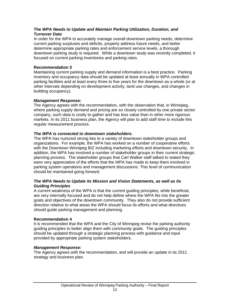## *The WPA Needs to Update and Maintain Parking Utilization, Duration, and Turnover Data*

In order for the WPA to accurately manage overall downtown parking needs, determine current parking surpluses and deficits, properly address future needs, and better determine appropriate parking rates and enforcement service levels, a thorough downtown parking study is required. While a downtown study was recently completed, it focused on current parking inventories and parking rates.

## **Recommendation 3**

Maintaining current parking supply and demand information is a best practice. Parking inventory and occupancy data should be updated at least annually in WPA controlled parking facilities and at least every three to five years for the downtown as a whole (or at other intervals depending on development activity, land use changes, and changes in building occupancy).

## *Management Response:*

The Agency agrees with the recommendation, with the observation that, in Winnipeg, where parking supply demand and pricing are so closely controlled by one private sector company, such data is costly to gather and has less value than in other more rigorous markets. In its 2011 business plan, the Agency will plan to add staff time to include this regular measurement process.

## *The WPA is connected to downtown stakeholders.*

The WPA has nurtured strong ties to a variety of downtown stakeholder groups and organizations. For example, the WPA has worked on a number of cooperative efforts with the Downtown Winnipeg BIZ including marketing efforts and downtown security. In addition, the WPA has involved a number of stakeholder groups in their current strategic planning process. The stakeholder groups that Carl Walker staff talked to stated they were very appreciative of the efforts that the WPA has made to keep them involved in parking system operations and management discussions. This level of communication should be maintained going forward.

## *The WPA Needs to Update its Mission and Vision Statements, as well as its Guiding Principles*

A current weakness of the WPA is that the current guiding principles, while beneficial, are very internally focused and do not help define where the WPA fits into the greater goals and objectives of the downtown community. They also do not provide sufficient direction relative to what areas the WPA should focus its efforts and what directives should guide parking management and planning.

## **Recommendation 4**

It is recommended that the WPA and the City of Winnipeg revise the parking authority guiding principles to better align them with community goals. The guiding principles should be updated through a strategic planning process with guidance and input provided by appropriate parking system stakeholders.

## *Management Response:*

The Agency agrees with the recommendation, and will provide an update in its 2011 strategy and business plan.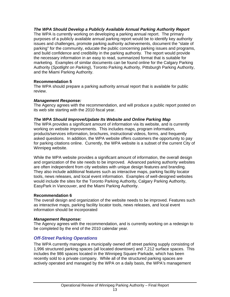## *The WPA Should Develop a Publicly Available Annual Parking Authority Report*

The WPA is currently working on developing a parking annual report. The primary purposes of a publicly available annual parking report would be to identify key authority issues and challenges, promote parking authority achievements, document the "state of parking" for the community, educate the public concerning parking issues and programs, and build confidence and credibility in the parking authority. The report would provide the necessary information in an easy to read, summarized format that is suitable for marketing. Examples of similar documents can be found online for the Calgary Parking Authority (*Spotlight on Parking*), Toronto Parking Authority, Pittsburgh Parking Authority, and the Miami Parking Authority.

## **Recommendation 5**

The WPA should prepare a parking authority annual report that is available for public review.

## *Management Response:*

The Agency agrees with the recommendation, and will produce a public report posted on its web site starting with the 2010 fiscal year.

## *The WPA Should Improve/Update Its Website and Online Parking Map*

The WPA provides a significant amount of information via its website, and is currently working on website improvements. This includes maps, program information, products/services information, brochures, instructional videos, forms, and frequently asked questions. In addition, the WPA website offers customers the opportunity to pay for parking citations online. Currently, the WPA website is a subset of the current City of Winnipeg website.

While the WPA website provides a significant amount of information, the overall design and organization of the site needs to be improved. Advanced parking authority websites are often independent from city websites with unique design features and branding. They also include additional features such as interactive maps, parking facility locator tools, news releases, and local event information. Examples of well-designed websites would include the sites for the Toronto Parking Authority, Calgary Parking Authority, EasyPark in Vancouver, and the Miami Parking Authority.

## **Recommendation 6**

The overall design and organization of the website needs to be improved. Features such as interactive maps, parking facility locator tools, news releases, and local event information should be incorporated

## *Management Response:*

The Agency agrees with the recommendation, and is currently working on a redesign to be completed by the end of the 2010 calendar year.

## *Off-Street Parking Operations*

The WPA currently manages a municipally owned off street parking supply consisting of 1,996 structured parking spaces (all located downtown) and 7,212 surface spaces. This includes the 986 spaces located in the Winnipeg Square Parkade, which has been recently sold to a private company. While all of the structured parking spaces are actively operated and managed by the WPA on a daily basis, the WPA's management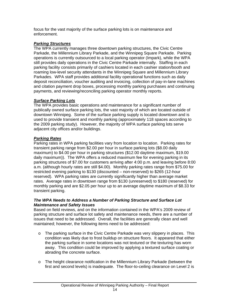focus for the vast majority of the surface parking lots is on maintenance and enforcement.

## *Parking Structures*

The WPA currently manages three downtown parking structures, the Civic Centre Parkade, the Millennium Library Parkade, and the Winnipeg Square Parkade. Parking operations is currently outsourced to a local parking operator (Impark), while the WPA still provides daily operations in the Civic Centre Parkade internally. Staffing in each parking facility consists primarily of cashiers located in each cashier station/booth and roaming low-level security attendants in the Winnipeg Square and Millennium Library Parkades. WPA staff provides additional facility operational functions such as daily deposit reconciliation, voucher auditing and invoicing, collection of pay-in-lane machines and citation payment drop boxes, processing monthly parking purchases and continuing payments, and reviewing/reconciling parking operator monthly reports.

## *Surface Parking Lots*

The WPA provides basic operations and maintenance for a significant number of publically owned surface parking lots, the vast majority of which are located outside of downtown Winnipeg. Some of the surface parking supply is located downtown and is used to provide transient and monthly parking (approximately 118 spaces according to the 2009 parking study). However, the majority of WPA surface parking lots serve adjacent city offices and/or buildings.

## *Parking Rates*

Parking rates in WPA parking facilities vary from location to location. Parking rates for transient parking range from \$2.00 per hour in surface parking lots (\$8.00 daily maximum) to \$4.00 per hour in parking structures (\$12.00 daytime maximum, \$19.00 daily maximum)). The WPA offers a reduced maximum fee for evening parking in its parking structures of \$7.00 for customers arriving after 4:00 p.m. and leaving before 8:00 a.m. (although hourly rates are still \$4.00). Monthly parking rates range from \$75.00 for restricted evening parking to \$130 (discounted – non-reserved) to \$265 (12-hour reserved). WPA parking rates are currently significantly higher than average market rates. Average rates in downtown range from \$130 (unreserved) to \$180 (reserved) for monthly parking and are \$2.05 per hour up to an average daytime maximum of \$8.33 for transient parking.

## *The WPA Needs to Address a Number of Parking Structure and Surface Lot Maintenance and Safety Issues*

Based on field reviews, and on the information contained in the WPA's 2009 review of parking structure and surface lot safety and maintenance needs, there are a number of issues that need to be addressed. Overall, the facilities are generally clean and well maintained; however, the following items need to be addressed:

- o The parking surface in the Civic Centre Parkade was very slippery in places. This condition was likely due to frost buildup on structure floors. It appeared that either the parking surface in some locations was not textured or the texturing has worn away. This condition could be improved by applying a textured surface coating or abrading the concrete surface.
- o The height clearance notification in the Millennium Library Parkade (between the first and second levels) is inadequate. The floor-to-ceiling clearance on Level 2 is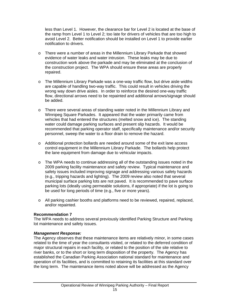less than Level 1. However, the clearance bar for Level 2 is located at the base of the ramp from Level 1 to Level 2; too late for drivers of vehicles that are too high to avoid Level 2. Better notification should be installed on Level 1 to provide earlier notification to drivers.

- o There were a number of areas in the Millennium Library Parkade that showed evidence of water leaks and water intrusion. These leaks may be due to construction work above the parkade and may be eliminated at the conclusion of the construction project. The WPA should ensure these areas are properly repaired.
- o The Millennium Library Parkade was a one-way traffic flow, but drive aisle widths are capable of handling two-way traffic. This could result in vehicles driving the wrong way down drive aisles. In order to reinforce the desired one-way traffic flow, directional arrows need to be repainted and additional arrows/signage should be added.
- $\circ$  There were several areas of standing water noted in the Millennium Library and Winnipeg Square Parkades. It appeared that the water primarily came from vehicles that had entered the structures (melted snow and ice). The standing water could damage parking surfaces and present slip hazards. It would be recommended that parking operator staff, specifically maintenance and/or security personnel, sweep the water to a floor drain to remove the hazard.
- o Additional protection bollards are needed around some of the exit lane access control equipment in the Millennium Library Parkade. The bollards help protect the lane equipment from damage due to vehicular impacts.
- o The WPA needs to continue addressing all of the outstanding issues noted in the 2009 parking facility maintenance and safety review. Typical maintenance and safety issues included improving signage and addressing various safety hazards (e.g., tripping hazards and lighting). The 2009 review also noted that several municipal surface parking lots are not paved. It is recommended to pave surface parking lots (ideally using permeable solutions, if appropriate) if the lot is going to be used for long periods of time (e.g., five or more years).
- o All parking cashier booths and platforms need to be reviewed, repaired, replaced, and/or repainted.

## **Recommendation 7**

The WPA needs to address several previously identified Parking Structure and Parking lot maintenance and safety issues.

## *Management Response:*

The Agency observes that these maintenance items are relatively minor, in some cases related to the time of year the consultants visited, or related to the deferred condition of major structural repairs in each facility, or related to the position of the site relative to river banks, or to the short or long term disposition of the property. The Agency has established the Canadian Parking Association national standard for maintenance and operation of its facilities, and is committed to retaining its facilities at this standard over the long term. The maintenance items noted above will be addressed as the Agency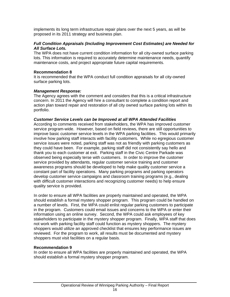implements its long term infrastructure repair plans over the next 5 years, as will be proposed in its 2011 strategy and business plan.

## *Full Condition Appraisals (Including Improvement Cost Estimates) are Needed for All Surface Lots.*

The WPA does not have current condition information for all city-owned surface parking lots. This information is required to accurately determine maintenance needs, quantify maintenance costs, and project appropriate future capital requirements.

#### **Recommendation 8**

It is recommended that the WPA conduct full condition appraisals for all city-owned surface parking lots.

## *Management Response:*

The Agency agrees with the comment and considers that this is a critical infrastructure concern. In 2011 the Agency will hire a consultant to complete a condition report and action plan toward repair and restoration of all city owned surface parking lots within its portfolio.

#### *Customer Service Levels can be Improved at all WPA Attended Facilities*

According to comments received from stakeholders, the WPA has improved customer service program-wide. However, based on field reviews, there are still opportunities to improve basic customer service levels in the WPA parking facilities. This would primarily involve how parking staff interacts with facility customers. While no egregious customer service issues were noted, parking staff was not as friendly with parking customers as they could have been. For example, parking staff did not consistently say hello and thank you to each customer at exit. Parking staff in the Civic Centre Parkade was observed being especially terse with customers. In order to improve the customer service provided by attendants, regular customer service training and customer awareness programs should be developed to help make quality customer service a constant part of facility operations. Many parking programs and parking operators develop customer service campaigns and classroom training programs (e.g., dealing with difficult customer interactions and recognizing customer needs) to help ensure quality service is provided.

In order to ensure all WPA facilities are properly maintained and operated, the WPA should establish a formal mystery shopper program. This program could be handled on a number of levels. First, the WPA could enlist regular parking customers to participate in the program. Customers could email issues and concerns to the WPA or enter their information using an online survey. Second, the WPA could ask employees of key stakeholders to participate in the mystery shopper program. Finally, WPA staff that does not work with parking facility staff could function as mystery shoppers. The mystery shoppers would utilize an approved checklist that ensures key performance issues are reviewed. For the program to work, all results must be documented and mystery shoppers must visit facilities on a regular basis.

#### **Recommendation 9**

In order to ensure all WPA facilities are properly maintained and operated, the WPA should establish a formal mystery shopper program.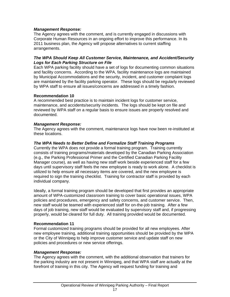## *Management Response:*

The Agency agrees with the comment, and is currently engaged in discussions with Corporate Human Resources in an ongoing effort to improve this performance. In its 2011 business plan, the Agency will propose alternatives to current staffing arrangements.

## *The WPA Should Keep All Customer Service, Maintenance, and Accident/Security Logs for Each Parking Structure on File*

Each WPA parking facility should have a set of logs for documenting common situations and facility concerns. According to the WPA, facility maintenance logs are maintained by Municipal Accommodations and the security, incident, and customer complaint logs are maintained by the facility parking operator. These logs should be regularly reviewed by WPA staff to ensure all issues/concerns are addressed in a timely fashion.

## **Recommendation 10**

A recommended best practice is to maintain incident logs for customer service, maintenance, and accidents/security incidents. The logs should be kept on file and reviewed by WPA staff on a regular basis to ensure issues are properly resolved and documented.

## *Management Response:*

The Agency agrees with the comment, maintenance logs have now been re-instituted at these locations.

## *The WPA Needs to Better Define and Formalize Staff Training Programs*

Currently the WPA does not provide a formal training program. Training currently consists of training programs/materials developed by the Canadian Parking Association (e.g., the Parking Professional Primer and the Certified Canadian Parking Facility Manager course), as well as having new staff work beside experienced staff for a few days until supervisory staff feels the new employee is ready to work alone. A checklist is utilized to help ensure all necessary items are covered, and the new employee is required to sign the training checklist. Training for contractor staff is provided by each individual company.

Ideally, a formal training program should be developed that first provides an appropriate amount of WPA-customized classroom training to cover basic operational issues, WPA policies and procedures, emergency and safety concerns, and customer service. Then, new staff would be teamed with experienced staff for on-the-job training. After a few days of job training, new staff would be evaluated by supervisory staff and, if progressing properly, would be cleared for full duty. All training provided would be documented.

## **Recommendation 11**

Formal customized training programs should be provided for all new employees. After new employee training, additional training opportunities should be provided by the WPA or the City of Winnipeg to help improve customer service and update staff on new policies and procedures or new service offerings.

## *Management Response:*

The Agency agrees with the comment, with the additional observation that trainers for the parking industry are not present in Winnipeg, and that WPA staff are actually at the forefront of training in this city. The Agency will request funding for training and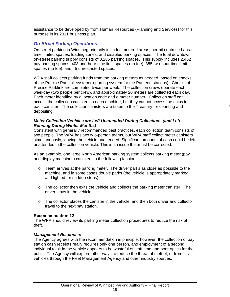assistance to be developed by from Human Resources (Planning and Services) for this purpose in its 2011 business plan.

## *On-Street Parking Operations*

On-street parking in Winnipeg primarily includes metered areas, permit controlled areas, time limited spaces, loading zones, and disabled parking spaces. The total downtown on-street parking supply consists of 3,285 parking spaces. This supply includes 2,452 pay parking spaces, 403 one-hour time limit spaces (no fee), 385 two-hour time limit spaces (no fee), and 45 unrestricted spaces.

WPA staff collects parking funds from the parking meters as needed, based on checks of the Precise Parklink system (reporting system for the Parkeon stations). Checks of Precise Parklink are completed twice per week. The collection crews operate each weekday (two people per crew), and approximately 20 meters are collected each day. Each meter identified by a location code and a meter number. Collection staff can access the collection canisters in each machine, but they cannot access the coins in each canister. The collection canisters are taken to the Treasury for counting and depositing.

*O*

## *Meter Collection Vehicles are Left Unattended During Collections (and Left Running During Winter Months)*

Consistent with generally recommended best practices, each collection team consists of two people. The WPA has two two-person teams, but WPA staff collect meter canisters simultaneously, leaving the vehicle unattended. Significant amounts of cash could be left unattended in the collection vehicle. This is an issue that must be corrected.

As an example, one large North American parking system collects parking meter (pay and display machines) canisters in the following fashion:

- $\circ$  Team arrives at the parking meter. The driver parks as close as possible to the machine, and in some cases double parks (the vehicle is appropriately marked and lighted for sudden stops).
- $\circ$  The collector then exits the vehicle and collects the parking meter canister. The driver stays in the vehicle.
- $\circ$  The collector places the canister in the vehicle, and then both driver and collector travel to the next pay station.

## **Recommendation 12**

The WPA should review its parking meter collection procedures to reduce the risk of theft.

## *Management Response:*

The Agency agrees with the recommendation in principle, however, the collection of pay station cash receipts really requires only one person, and employment of a second individual to sit in the vehicle appears to be wasteful of staff time and poor optics for the public. The Agency will explore other ways to reduce the threat of theft of, or from, its vehicles through the Fleet Management Agency and other industry sources.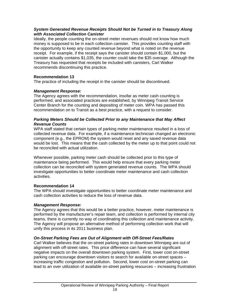## *System Generated Revenue Receipts Should Not be Turned in to Treasury Along with Associated Collection Canister*

Ideally, the people counting the on-street meter revenues should not know how much money is supposed to be in each collection canister. This provides counting staff with the opportunity to keep any counted revenue beyond what is noted on the revenue receipt. For example, if the receipt says the canister should contain \$1,000, but the canister actually contains \$1,035, the counter could take the \$35 overage. Although the Treasury has requested that receipts be included with canisters, Carl Walker recommends discontinuing this practice.

## **Recommendation 13**

The practice of including the receipt in the canister should be discontinued.

## *Management Response:*

The Agency agrees with the recommendation, insofar as meter cash counting is performed, and associated practices are established, by Winnipeg Transit Service Center Branch for the counting and depositing of meter coin. WPA has passed this recommendation on to Transit as a best practice, with a request to consider.

## *Parking Meters Should be Collected Prior to any Maintenance that May Affect Revenue Counts*

WPA staff stated that certain types of parking meter maintenance resulted in a loss of collected revenue data. For example, if a maintenance technician changed an electronic component (e.g., the EPROM) the system would reset and any saved revenue data would be lost. This means that the cash collected by the meter up to that point could not be reconciled with actual utilization.

Whenever possible, parking meter cash should be collected prior to this type of maintenance being performed. This would help ensure that every parking meter collection can be reconciled with system generated revenue counts. The WPA should investigate opportunities to better coordinate meter maintenance and cash collection activities.

## **Recommendation 14**

The WPA should investigate opportunities to better coordinate meter maintenance and cash collection activities to reduce the loss of revenue data.

## *Management Response:*

The Agency agrees that this would be a better practice, however, meter maintenance is performed by the manufacturer's repair team, and collection is performed by internal city teams, there is currently no way of coordinating this collection and maintenance activity. The Agency will propose an alternative method of performing collection work that will unify this process in its 2011 business plan.

## *On-Street Parking Fees are Out of Alignment with Off-Street Fees/Rates*

Carl Walker believes that the on-street parking rates in downtown Winnipeg are out of alignment with off-street rates. This price difference can have several significant negative impacts on the overall downtown parking system. First, lower cost on-street parking can encourage downtown visitors to search for available on-street spaces – increasing traffic congestion and pollution. Second, lower cost on-street parking can lead to an over utilization of available on-street parking resources – increasing frustration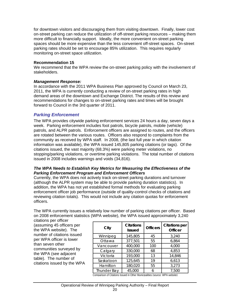for downtown visitors and discouraging them from visiting downtown. Finally, lower cost on-street parking can reduce the utilization of off-street parking resources – making them more difficult to financially support. Ideally, the more convenient on-street parking spaces should be more expensive than the less convenient off-street spaces. On-street parking rates should be set to encourage 85% utilization. This requires regularly monitoring on-street space utilization.

## **Recommendation 15**

We recommend that the WPA review the on-street parking policy with the involvement of stakeholders.

## *Management Response:*

In accordance with the 2011 WPA Business Plan approved by Council on March 23, 2011, the WPA is currently conducting a review of on-street parking rates in high demand areas of the downtown and Exchange District. The results of this review and recommendations for changes to on-street parking rates and times will be brought forward to Council in the 3rd quarter of 2011.

## *Parking Enforcement*

The WPA provides citywide parking enforcement services 24 hours a day, seven days a week. Parking enforcement includes foot patrols, bicycle patrols, mobile (vehicle) patrols, and ALPR patrols. Enforcement officers are assigned to routes, and the officers are rotated between the various routes. Officers also respond to complaints from the community as received by WPA staff. In 2008, (the last full year in which citation information was available), the WPA issued 145,805 parking citations (or tags). Of the citations issued, the vast majority (68.3%) were parking meter violations, no stopping/parking violations, or overtime parking violations. The total number of citations issued in 2008 includes warnings and voids (34,816).

## *The WPA Needs to Establish Key Metrics for Measuring the Effectiveness of the Parking Enforcement Program and Enforcement Officers*

Currently, the WPA does not actively track on-street parking durations and turnover (although the ALPR system may be able to provide parking duration statistics). In addition, the WPA has not yet established formal methods for evaluating parking enforcement officer job performance (outside of quality-control checks of citations and reviewing citation totals). This would not include any citation quotas for enforcement officers.

The WPA currently issues a relatively low number of parking citations per officer. Based on 2008 enforcement statistics (WPA website), the WPA issued approximately 3,240

citations per officer (assuming 45 officers per the WPA website). The number of citations issued per WPA officer is lower than seven other communities surveyed by the WPA (see adjacent table). The number of citations issued by the WPA

| City               | <b>Citations</b><br><b>Issued</b> | <b>Officers</b> | <b>Citations per</b><br><b>Officer</b> |
|--------------------|-----------------------------------|-----------------|----------------------------------------|
| Winnipeg           | 145,805                           | 45              | 3,240                                  |
| Ottawa             | 377,501                           | 55              | 6,864                                  |
| Vancouver          | 400,000                           | 100             | 4,000                                  |
| Calgary            | 330,000                           | 68              | 4,853                                  |
| Victoria           | 193,000                           | 13              | 14,846                                 |
| Saskatoon          | 125,645                           | 19              | 6,613                                  |
| Hamilton           | 180,020                           | 55              | 3,273                                  |
| <b>Thunder Bay</b> | 45,000                            | 6               | 7,500                                  |

Comparison of Citations Issued in Other Municipalities (source: WPA website)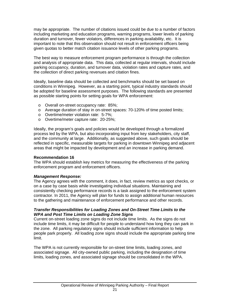may be appropriate. The number of citations issued could be due to a number of factors including marketing and education programs, warning programs, lower levels of parking duration and turnover, fewer violators, differences in parking availability, etc. It is important to note that this observation should not result in enforcement officers being given quotas to better match citation issuance levels of other parking programs.

The best way to measure enforcement program performance is through the collection and analysis of appropriate data. This data, collected at regular intervals, should include parking occupancy, duration, and turnover data, violation rates and capture rates, and the collection of direct parking revenues and citation fines.

Ideally, baseline data should be collected and benchmarks should be set based on conditions in Winnipeg. However, as a starting point, typical industry standards should be adopted for baseline assessment purposes. The following standards are presented as possible starting points for setting goals for WPA enforcement:

- o Overall on-street occupancy rate: 85%;
- o Average duration of stay in on-street spaces: 70-120% of time posted limits;
- o Overtime/meter violation rate: 5-7%;
- o Overtime/meter capture rate: 20-25%;

Ideally, the program's goals and policies would be developed through a formalized process led by the WPA, but also incorporating input from key stakeholders, city staff, and the community at large. Additionally, as suggested above, such goals should be reflected in specific, measurable targets for parking in downtown Winnipeg and adjacent areas that might be impacted by development and an increase in parking demand.

#### **Recommendation 16**

The WPA should establish key metrics for measuring the effectiveness of the parking enforcement program and enforcement officers.

#### *Management Response:*

The Agency agrees with the comment, it does, in fact, review metrics as spot checks, or on a case by case basis while investigating individual situations. Maintaining and consistently checking performance records is a task assigned to the enforcement system contractor. In 2011, the Agency will plan for funds to assign additional human resources to the gathering and maintenance of enforcement performance and other records.

#### *Transfer Responsibilities for Loading Zones and On-Street Time Limits to the WPA and Post Time Limits on Loading Zone Signs*

Current on-street loading zone signs do not include time limits. As the signs do not include time limits, it may be difficult for people to understand how long they can park in the zone. All parking regulatory signs should include sufficient information to help people park properly. All loading zone signs should include the appropriate parking time limit.

The WPA is not currently responsible for on-street time limits, loading zones, and associated signage. All city-owned public parking, including the designation of time limits, loading zones, and associated signage should be consolidated in the WPA.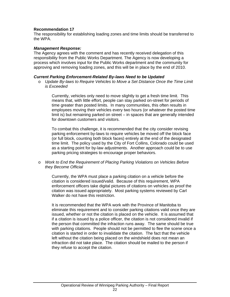## **Recommendation 17**

The responsibility for establishing loading zones and time limits should be transferred to the WPA.

#### *Management Response:*

The Agency agrees with the comment and has recently received delegation of this responsibility from the Public Works Department. The Agency is now developing a process which involves input for the Public Works department and the community for approving and removing loading zones, and this will be in place by the end of 2010.

#### *Current Parking Enforcement-Related By-laws Need to be Updated*

o *Update By-laws to Require Vehicles to Move a Set Distance Once the Time Limit is Exceeded* 

Currently, vehicles only need to move slightly to get a fresh time limit. This means that, with little effort, people can stay parked on-street for periods of time greater than posted limits. In many communities, this often results in employees moving their vehicles every two hours (or whatever the posted time limit is) but remaining parked on street – in spaces that are generally intended for downtown customers and visitors.

To combat this challenge, it is recommended that the city consider revising parking enforcement by-laws to require vehicles be moved off the block face (or full block, counting both block faces) entirely at the end of the designated time limit. The policy used by the City of Fort Collins, Colorado could be used as a starting point for by-law adjustments. Another approach could be to use parking pricing strategies to encourage proper behaviors.

#### o *Work to End the Requirement of Placing Parking Violations on Vehicles Before they Become Official*

Currently, the WPA must place a parking citation on a vehicle before the citation is considered issued/valid. Because of this requirement, WPA enforcement officers take digital pictures of citations on vehicles as proof the citation was issued appropriately. Most parking systems reviewed by Carl Walker do not have this restriction.

It is recommended that the WPA work with the Province of Manitoba to eliminate this requirement and to consider parking citations valid once they are issued, whether or not the citation is placed on the vehicle. It is assumed that if a citation is issued by a police officer, the citation is not considered invalid if the person that committed the infraction runs away. The same should be true with parking citations. People should not be permitted to flee the scene once a citation is started in order to invalidate the citation. The fact that the vehicle left without the citation being placed on the windshield does not mean an infraction did not take place. The citation should be mailed to the person if they refuse to accept the citation.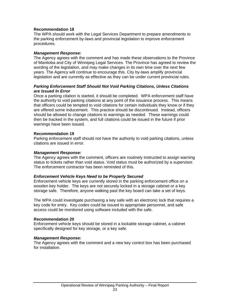## **Recommendation 18**

The WPA should work with the Legal Services Department to prepare amendments to the parking enforcement by-laws and provincial legislation to improve enforcement procedures.

## *Management Response:*

The Agency agrees with the comment and has made these observations to the Province of Manitoba and City of Winnipeg Legal Services. The Province has agreed to review the wording of the legislation, and may make changes in its own time over the next few years. The Agency will continue to encourage this. City by-laws amplify provincial legislation and are currently as effective as they can be under current provincial rules.

## *Parking Enforcement Staff Should Not Void Parking Citations, Unless Citations are Issued In Error*

Once a parking citation is started, it should be completed. WPA enforcement staff have the authority to void parking citations at any point of the issuance process. This means that officers could be tempted to void citations for certain individuals they know or if they are offered some inducement. This practice should be discontinued. Instead, officers should be allowed to change citations to warnings as needed. These warnings could then be tracked in the system, and full citations could be issued in the future if prior warnings have been issued.

## **Recommendation 19**

Parking enforcement staff should not have the authority to void parking citations, unless citations are issued in error.

## *Management Response:*

The Agency agrees with the comment, officers are routinely instructed to assign warning status to tickets rather than void status. Void status must be authorized by a supervisor. The enforcement contractor has been reminded of this.

## *Enforcement Vehicle Keys Need to be Properly Secured*

Enforcement vehicle keys are currently stored in the parking enforcement office on a wooden key holder. The keys are not securely locked in a storage cabinet or a key storage safe. Therefore, anyone walking past the key board can take a set of keys.

The WPA could investigate purchasing a key safe with an electronic lock that requires a key code for entry. Key codes could be issued to appropriate personnel, and safe access could be monitored using software included with the safe.

## **Recommendation 20**

Enforcement vehicle keys should be stored in a lockable storage cabinet, a cabinet specifically designed for key storage, or a key safe.

#### *Management Response:*

The Agency agrees with the comment and a new key control box has been purchased for installation.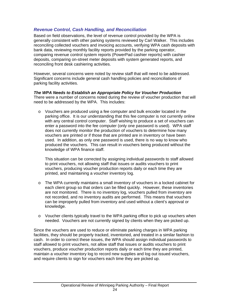## *Revenue Control, Cash Handling, and Reconciliation*

Based on field observations, the level of revenue control provided by the WPA is generally consistent with other parking systems reviewed by Carl Walker. This includes reconciling collected vouchers and invoicing accounts, verifying WPA cash deposits with bank data, reviewing monthly facility reports provided by the parking operator, comparing revenue control system reports (PowerPad cashier reports) with cashier deposits, comparing on-street meter deposits with system generated reports, and reconciling front desk cashiering activities.

However, several concerns were noted by review staff that will need to be addressed. Significant concerns include general cash handling policies and reconciliations of parking facility activities.

## *The WPA Needs to Establish an Appropriate Policy for Voucher Production*

There were a number of concerns noted during the review of voucher production that will need to be addressed by the WPA. This includes:

o Vouchers are produced using a fee computer and bulk encoder located in the parking office. It is our understanding that this fee computer is not currently online with any central control computer. Staff wishing to produce a set of vouchers can enter a password into the fee computer (only one password is used). WPA staff does not currently monitor the production of vouchers to determine how many vouchers are printed or if those that are printed are in inventory or have been used. In addition, as only one password is used, there is no way to know who produced the vouchers. This can result in vouchers being produced without the knowledge of WPA finance staff.

This situation can be corrected by assigning individual passwords to staff allowed to print vouchers, not allowing staff that issues or audits vouchers to print vouchers, producing voucher production reports daily or each time they are printed, and maintaining a voucher inventory log.

- o The WPA currently maintains a small inventory of vouchers in a locked cabinet for each client group so that orders can be filled quickly. However, these inventories are not monitored. There is no inventory log, vouchers pulled from inventory are not recorded, and no inventory audits are performed. This means that vouchers can be improperly pulled from inventory and used without a client's approval or knowledge.
- o Voucher clients typically travel to the WPA parking office to pick up vouchers when needed. Vouchers are not currently signed by clients when they are picked up.

Since the vouchers are used to reduce or eliminate parking charges in WPA parking facilities, they should be properly tracked, inventoried, and treated in a similar fashion to cash. In order to correct these issues, the WPA should assign individual passwords to staff allowed to print vouchers, not allow staff that issues or audits vouchers to print vouchers, produce voucher production reports daily or each time they are printed, maintain a voucher inventory log to record new supplies and log out issued vouchers, and require clients to sign for vouchers each time they are picked up.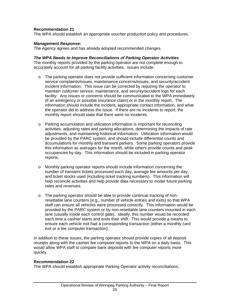## **Recommendation 21**

The WPA should establish an appropriate voucher production policy and procedures.

#### *Management Response:*

The Agency agrees and has already adopted recommended changes.

#### *The WPA Needs to Improve Reconciliations of Parking Operator Activities*

The monthly reports provided by the parking operator are not complete enough to accurately account for all parking facility activities. Issues include:

- $\circ$  The parking operator does not provide sufficient information concerning customer service complaints/issues, maintenance concerns/issues, and security/accident incident information. This issue can be corrected by requiring the operator to maintain customer service, maintenance, and security/accident logs for each facility. Any issues or concerns should be communicated to the WPA immediately (if an emergency or possible insurance claim) or in the monthly report. The information should include the incident, appropriate contact information, and what the operator did to address the issue. If there are no incidents to report, the monthly report should state that there were no incidents.
- o Parking accumulation and utilization information is important for reconciling activities, adjusting rates and parking allocations, determining the impacts of rate adjustments, and maintaining historical information. Utilization information would be provided by the PARC system, and should include differential counts and accumulations for monthly and transient parkers. Some parking operators provide this information as averages for the month, while others provide counts and peak occupancies by day. This information should be included in parking operator reports.
- o Monthly parking operator reports should include information concerning the number of transient tickets processed each day, average fee amounts per day, and ticket stocks used (including ticket tracking numbers). This information will help reconcile activities and help provide data necessary to model future parking rates and revenues.
- o The parking operator should be able to provide continual tracking of nonresettable lane counters (e.g., number of vehicle entries and exits) so that WPA staff can ensure all vehicles were processed correctly. This information would be provided by the PARC system or by non-resettable lane counters mounted in each lane (usually inside each control gate). Ideally, this number would be recorded each time a cashier starts and ends their shift. This would provide a means to ensure each vehicle exit had a corresponding transaction (either a monthly card exit or a fee computer transaction).

In addition to these issues, the parking operator should provide copies of all deposit receipts along with the cashier fee computer reports to the WPA on a daily basis. This would allow WPA staff to compare bank deposits with fee computer reports more quickly.

## **Recommendation 22**

The WPA should establish appropriate Parking Operator activity reconciliations.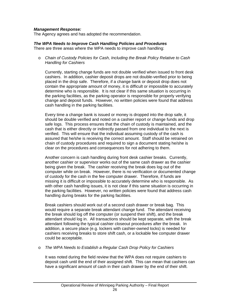## *Management Response:*

The Agency agrees and has adopted the recommendation.

## *The WPA Needs to Improve Cash Handling Policies and Procedures*

There are three areas where the WPA needs to improve cash handling:

o *Chain of Custody Policies for Cash, Including the Break Policy Relative to Cash Handling for Cashiers* 

Currently, starting change funds are not double verified when issued to front desk cashiers. In addition, cashier deposit drops are not double-verified prior to being placed in the drop safe. Therefore, if a change bank or deposit drop does not contain the appropriate amount of money, it is difficult or impossible to accurately determine who is responsible. It is not clear if this same situation is occurring in the parking facilities, as the parking operator is responsible for properly verifying change and deposit funds. However, no written policies were found that address cash handling in the parking facilities.

Every time a change bank is issued or money is dropped into the drop safe, it should be double verified and noted on a cashier report or change funds and drop safe logs. This process ensures that the chain of custody is maintained, and the cash that is either directly or indirectly passed from one individual to the next is verified. This will ensure that the individual assuming custody of the cash is assured that he/she is receiving the correct amount. Staff should be retrained on chain of custody procedures and required to sign a document stating he/she is clear on the procedures and consequences for not adhering to them.

Another concern is cash handling during front desk cashier breaks. Currently, another cashier or supervisor works out of the same cash drawer as the cashier being given the break. The cashier receiving the break does log out of the computer while on break. However, there is no verification or documented change of custody for the cash in the fee computer drawer. Therefore, if funds are missing it is difficult or impossible to accurately determine who is responsible. As with other cash handling issues, it is not clear if this same situation is occurring in the parking facilities. However, no written policies were found that address cash handling during breaks for the parking facilities.

Break cashiers should work out of a second cash drawer or break bag. This would require a separate break attendant change fund. The attendant receiving the break should log off the computer (or suspend their shift), and the break attendant should log in. All transactions should be kept separate, with the break attendant following the typical cashier closeout procedures after the break. In addition, a secure place (e.g. lockers with cashier-owned locks) is needed for cashiers receiving breaks to store shift cash, or a lockable fee computer drawer could be acceptable.

#### o *The WPA Needs to Establish a Regular Cash Drop Policy for Cashiers*

It was noted during the field review that the WPA does not require cashiers to deposit cash until the end of their assigned shift. This can mean that cashiers can have a significant amount of cash in their cash drawer by the end of their shift.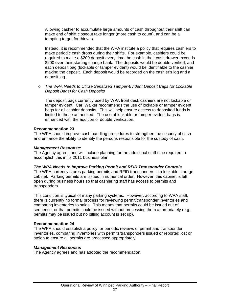Allowing cashier to accumulate large amounts of cash throughout their shift can make end of shift closeout take longer (more cash to count), and can be a tempting target for thieves.

Instead, it is recommended that the WPA institute a policy that requires cashiers to make periodic cash drops during their shifts. For example, cashiers could be required to make a \$200 deposit every time the cash in their cash drawer exceeds \$200 over their starting change bank. The deposits would be double verified, and each deposit bag (lockable or tamper evident) would be identifiable to the cashier making the deposit. Each deposit would be recorded on the cashier's log and a deposit log.

o *The WPA Needs to Utilize Serialized Tamper-Evident Deposit Bags (or Lockable Deposit Bags) for Cash Deposits* 

The deposit bags currently used by WPA front desk cashiers are not lockable or tamper evident. Carl Walker recommends the use of lockable or tamper evident bags for all cashier deposits. This will help ensure access to deposited funds is limited to those authorized. The use of lockable or tamper evident bags is enhanced with the addition of double verification.

## **Recommendation 23**

The WPA should improve cash handling procedures to strengthen the security of cash and enhance the ability to identify the persons responsible for the custody of cash.

## *Management Response:*

The Agency agrees and will include planning for the additional staff time required to accomplish this in its 2011 business plan.

## *The WPA Needs to Improve Parking Permit and RFID Transponder Controls*

The WPA currently stores parking permits and RFID transponders in a lockable storage cabinet. Parking permits are issued in numerical order. However, this cabinet is left open during business hours so that cashiering staff has access to permits and transponders.

This condition is typical of many parking systems. However, according to WPA staff, there is currently no formal process for reviewing permit/transponder inventories and comparing inventories to sales. This means that permits could be issued out of sequence, or that permits could be issued without processing them appropriately (e.g., permits may be issued but no billing account is set up).

## **Recommendation 24**

The WPA should establish a policy for periodic reviews of permit and transponder inventories, comparing inventories with permits/transponders issued or reported lost or stolen to ensure all permits are processed appropriately.

## *Management Response:*

The Agency agrees and has adopted the recommendation.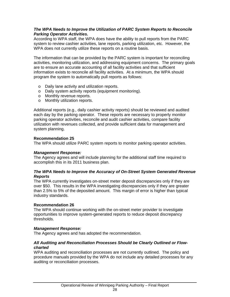## *The WPA Needs to Improve the Utilization of PARC System Reports to Reconcile Parking Operator Activities.*

According to WPA staff, the WPA does have the ability to pull reports from the PARC system to review cashier activities, lane reports, parking utilization, etc. However, the WPA does not currently utilize these reports on a routine basis.

The information that can be provided by the PARC system is important for reconciling activities, monitoring utilization, and addressing equipment concerns. The primary goals are to ensure an accurate accounting of all facility activities and that sufficient information exists to reconcile all facility activities. At a minimum, the WPA should program the system to automatically pull reports as follows:

- o Daily lane activity and utilization reports.
- o Daily system activity reports (equipment monitoring).
- o Monthly revenue reports.
- o Monthly utilization reports.

Additional reports (e.g., daily cashier activity reports) should be reviewed and audited each day by the parking operator. These reports are necessary to properly monitor parking operator activities, reconcile and audit cashier activities, compare facility utilization with revenues collected, and provide sufficient data for management and system planning.

## **Recommendation 25**

The WPA should utilize PARC system reports to monitor parking operator activities.

## *Management Response:*

The Agency agrees and will include planning for the additional staff time required to accomplish this in its 2011 business plan.

## *The WPA Needs to Improve the Accuracy of On-Street System Generated Revenue Reports*

The WPA currently investigates on-street meter deposit discrepancies only if they are over \$50. This results in the WPA investigating discrepancies only if they are greater than 2.5% to 5% of the deposited amount. This margin of error is higher than typical industry standards.

## **Recommendation 26**

The WPA should continue working with the on-street meter provider to investigate opportunities to improve system-generated reports to reduce deposit discrepancy thresholds.

## *Management Response:*

The Agency agrees and has adopted the recommendation.

## *All Auditing and Reconciliation Processes Should be Clearly Outlined or Flowcharted*

WPA auditing and reconciliation processes are not currently outlined. The policy and procedure manuals provided by the WPA do not include any detailed processes for any auditing or reconciliation processes.